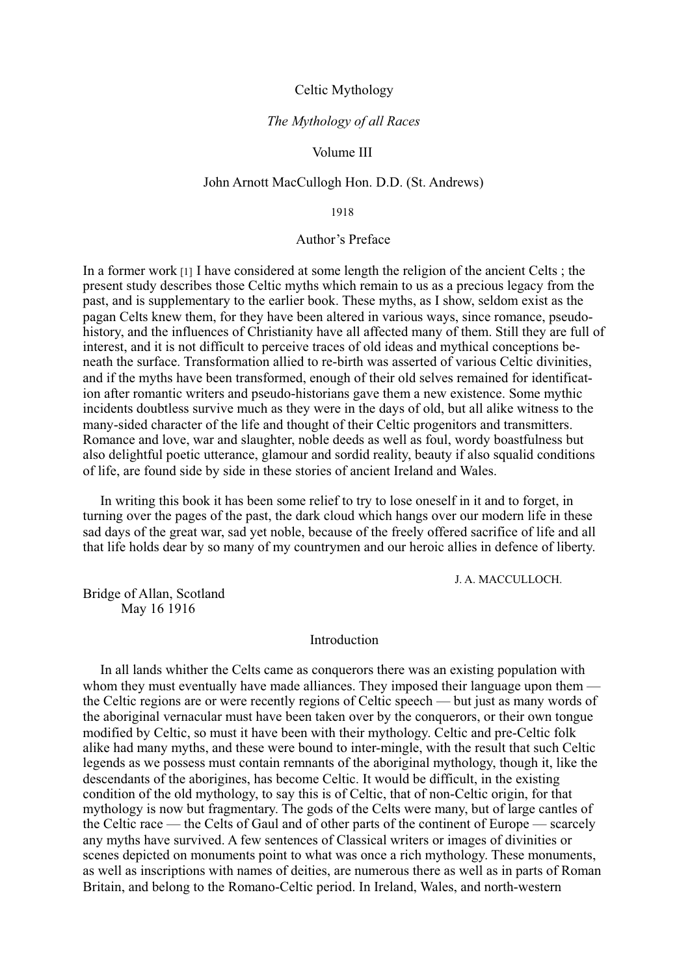# Celtic Mythology

## The Mythology of all Races

## Volume III

#### John Arnott MacCullogh Hon. D.D. (St. Andrews)

1918

### Author's Preface

In a former work [1] I have considered at some length the religion of the ancient Celts; the present study describes those Celtic myths which remain to us as a precious legacy from the past, and is supplementary to the earlier book. These myths, as I show, seldom exist as the pagan Celts knew them, for they have been altered in various ways, since romance, pseudohistory, and the influences of Christianity have all affected many of them. Still they are full of interest, and it is not difficult to perceive traces of old ideas and mythical conceptions beneath the surface. Transformation allied to re-birth was asserted of various Celtic divinities, and if the myths have been transformed, enough of their old selves remained for identification after romantic writers and pseudo-historians gave them a new existence. Some mythic incidents doubtless survive much as they were in the days of old, but all alike witness to the many-sided character of the life and thought of their Celtic progenitors and transmitters. Romance and love, war and slaughter, noble deeds as well as foul, wordy boastfulness but also delightful poetic utterance, glamour and sordid reality, beauty if also squalid conditions of life, are found side by side in these stories of ancient Ireland and Wales.

In writing this book it has been some relief to try to lose oneself in it and to forget, in turning over the pages of the past, the dark cloud which hangs over our modern life in these sad days of the great war, sad vet noble, because of the freely offered sacrifice of life and all that life holds dear by so many of my countrymen and our heroic allies in defence of liberty.

**J. A. MACCULLOCH.** 

Bridge of Allan, Scotland May 16 1916

## Introduction

In all lands whither the Celts came as conquerors there was an existing population with whom they must eventually have made alliances. They imposed their language upon them  $$ the Celtic regions are or were recently regions of Celtic speech — but just as many words of the aboriginal vernacular must have been taken over by the conquerors, or their own tongue modified by Celtic, so must it have been with their mythology. Celtic and pre-Celtic folk alike had many myths, and these were bound to inter-mingle, with the result that such Celtic legends as we possess must contain remnants of the aboriginal mythology, though it, like the descendants of the aborigines, has become Celtic. It would be difficult, in the existing condition of the old mythology, to say this is of Celtic, that of non-Celtic origin, for that mythology is now but fragmentary. The gods of the Celts were many, but of large cantles of the Celtic race — the Celts of Gaul and of other parts of the continent of Europe — scarcely any myths have survived. A few sentences of Classical writers or images of divinities or scenes depicted on monuments point to what was once a rich mythology. These monuments, as well as inscriptions with names of deities, are numerous there as well as in parts of Roman Britain, and belong to the Romano-Celtic period. In Ireland, Wales, and north-western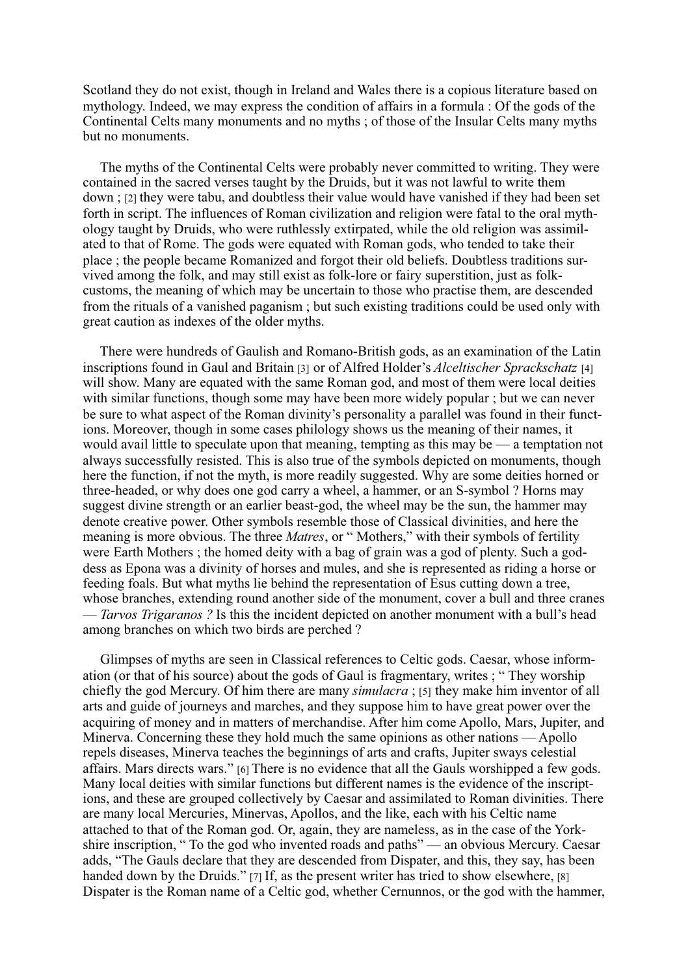Scotland they do not exist, though in Ireland and Wales there is a copious literature based on mythology. Indeed, we may express the condition of affairs in a formula : Of the gods of the Continental Celts many monuments and no myths; of those of the Insular Celts many myths but no monuments.

The myths of the Continental Celts were probably never committed to writing. They were contained in the sacred verses taught by the Druids, but it was not lawful to write them down : [2] they were tabu, and doubtless their value would have vanished if they had been set forth in script. The influences of Roman civilization and religion were fatal to the oral mythology taught by Druids, who were ruthlessly extirpated, while the old religion was assimilated to that of Rome. The gods were equated with Roman gods, who tended to take their place; the people became Romanized and forgot their old beliefs. Doubtless traditions survived among the folk, and may still exist as folk-lore or fairy superstition, just as folkcustoms, the meaning of which may be uncertain to those who practise them, are descended from the rituals of a vanished paganism; but such existing traditions could be used only with great caution as indexes of the older myths.

There were hundreds of Gaulish and Romano-British gods, as an examination of the Latin inscriptions found in Gaul and Britain [3] or of Alfred Holder's *Alceltischer Sprackschatz* [4] will show. Many are equated with the same Roman god, and most of them were local deities with similar functions, though some may have been more widely popular; but we can never be sure to what aspect of the Roman divinity's personality a parallel was found in their functions. Moreover, though in some cases philology shows us the meaning of their names, it would avail little to speculate upon that meaning, tempting as this may be  $-$  a temptation not always successfully resisted. This is also true of the symbols depicted on monuments, though here the function, if not the myth, is more readily suggested. Why are some deities horned or three-headed, or why does one god carry a wheel, a hammer, or an S-symbol? Horns may suggest divine strength or an earlier beast-god, the wheel may be the sun, the hammer may denote creative power. Other symbols resemble those of Classical divinities, and here the meaning is more obvious. The three *Matres*, or "Mothers," with their symbols of fertility were Earth Mothers; the homed deity with a bag of grain was a god of plenty. Such a goddess as Epona was a divinity of horses and mules, and she is represented as riding a horse or feeding foals. But what myths lie behind the representation of Esus cutting down a tree, whose branches, extending round another side of the monument, cover a bull and three cranes — Tarvos Trigaranos? Is this the incident depicted on another monument with a bull's head among branches on which two birds are perched?

Glimpses of myths are seen in Classical references to Celtic gods. Caesar, whose information (or that of his source) about the gods of Gaul is fragmentary, writes; "They worship chiefly the god Mercury. Of him there are many *simulacra*; [5] they make him inventor of all arts and guide of journeys and marches, and they suppose him to have great power over the acquiring of money and in matters of merchandise. After him come Apollo, Mars, Jupiter, and Minerva. Concerning these they hold much the same opinions as other nations — Apollo repels diseases, Minerva teaches the beginnings of arts and crafts, Jupiter sways celestial affairs. Mars directs wars." [6] There is no evidence that all the Gauls worshipped a few gods. Many local deities with similar functions but different names is the evidence of the inscriptions, and these are grouped collectively by Caesar and assimilated to Roman divinities. There are many local Mercuries, Minervas, Apollos, and the like, each with his Celtic name attached to that of the Roman god. Or, again, they are nameless, as in the case of the Yorkshire inscription, " To the god who invented roads and paths" — an obvious Mercury. Caesar adds, "The Gauls declare that they are descended from Dispater, and this, they say, has been handed down by the Druids." [7] If, as the present writer has tried to show elsewhere, [8] Dispater is the Roman name of a Celtic god, whether Cernunnos, or the god with the hammer,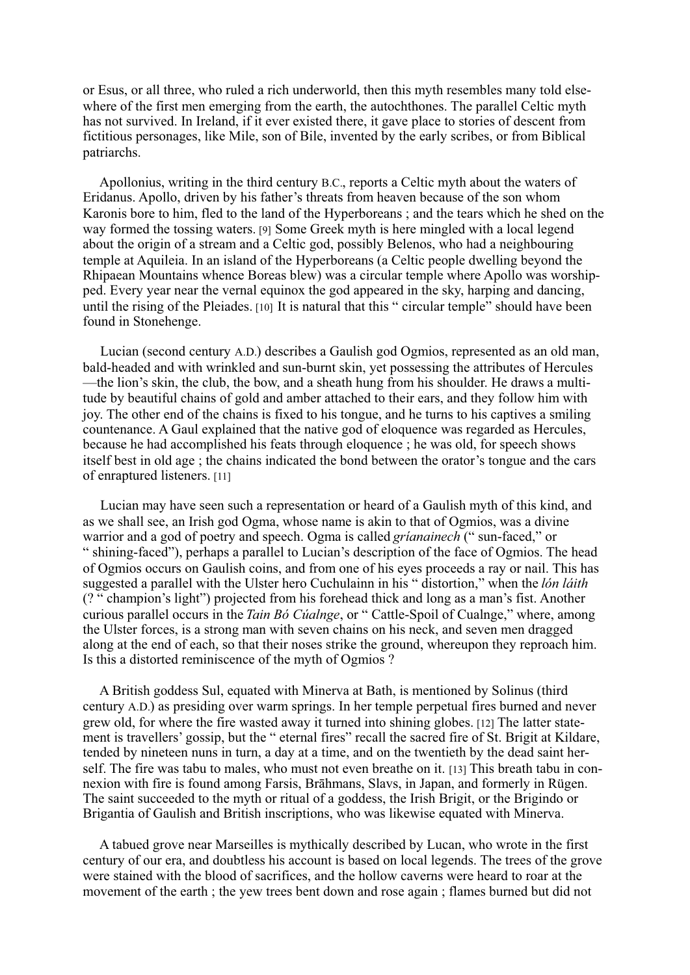or Esus, or all three, who ruled a rich underworld, then this myth resembles many told elsewhere of the first men emerging from the earth, the autochthones. The parallel Celtic myth has not survived. In Ireland, if it ever existed there, it gave place to stories of descent from fictitious personages, like Mile, son of Bile, invented by the early scribes, or from Biblical patriarchs.

Apollonius, writing in the third century B.C., reports a Celtic myth about the waters of Eridanus. Apollo, driven by his father's threats from heaven because of the son whom Karonis bore to him, fled to the land of the Hyperboreans ; and the tears which he shed on the way formed the tossing waters. [9] Some Greek myth is here mingled with a local legend about the origin of a stream and a Celtic god, possibly Belenos, who had a neighbouring temple at Aquileia. In an island of the Hyperboreans (a Celtic people dwelling beyond the Rhipaean Mountains whence Boreas blew) was a circular temple where Apollo was worshipped. Every year near the vernal equinox the god appeared in the sky, harping and dancing, until the rising of the Pleiades. [10] It is natural that this "circular temple" should have been found in Stonehenge.

Lucian (second century A.D.) describes a Gaulish god Ogmios, represented as an old man, bald-headed and with wrinkled and sun-burnt skin, yet possessing the attributes of Hercules -the lion's skin, the club, the bow, and a sheath hung from his shoulder. He draws a multitude by beautiful chains of gold and amber attached to their ears, and they follow him with joy. The other end of the chains is fixed to his tongue, and he turns to his captives a smiling countenance. A Gaul explained that the native god of eloquence was regarded as Hercules. because he had accomplished his feats through eloquence; he was old, for speech shows itself best in old age; the chains indicated the bond between the orator's tongue and the cars of enraptured listeners. [11]

Lucian may have seen such a representation or heard of a Gaulish myth of this kind, and as we shall see, an Irish god Ogma, whose name is akin to that of Ogmios, was a divine warrior and a god of poetry and speech. Ogma is called *grianainech* ("sun-faced," or " shining-faced"), perhaps a parallel to Lucian's description of the face of Ogmios. The head of Ogmios occurs on Gaulish coins, and from one of his eyes proceeds a ray or nail. This has suggested a parallel with the Ulster hero Cuchulainn in his "distortion," when the lon latth (? " champion's light") projected from his forehead thick and long as a man's fist. Another curious parallel occurs in the *Tain Bó Cúalnge*, or "Cattle-Spoil of Cualnge," where, among the Ulster forces, is a strong man with seven chains on his neck, and seven men dragged along at the end of each, so that their noses strike the ground, whereupon they reproach him. Is this a distorted reminiscence of the myth of Ogmios?

A British goddess Sul, equated with Minerva at Bath, is mentioned by Solinus (third century A.D.) as presiding over warm springs. In her temple perpetual fires burned and never grew old, for where the fire wasted away it turned into shining globes. [12] The latter statement is travellers' gossip, but the "eternal fires" recall the sacred fire of St. Brigit at Kildare, tended by nineteen nuns in turn, a day at a time, and on the twentieth by the dead saint herself. The fire was tabu to males, who must not even breathe on it. [13] This breath tabu in connexion with fire is found among Farsis, Brāhmans, Slavs, in Japan, and formerly in Rügen. The saint succeeded to the myth or ritual of a goddess, the Irish Brigit, or the Brigindo or Brigantia of Gaulish and British inscriptions, who was likewise equated with Minerva.

A tabued grove near Marseilles is mythically described by Lucan, who wrote in the first century of our era, and doubtless his account is based on local legends. The trees of the grove were stained with the blood of sacrifices, and the hollow caverns were heard to roar at the movement of the earth; the yew trees bent down and rose again; flames burned but did not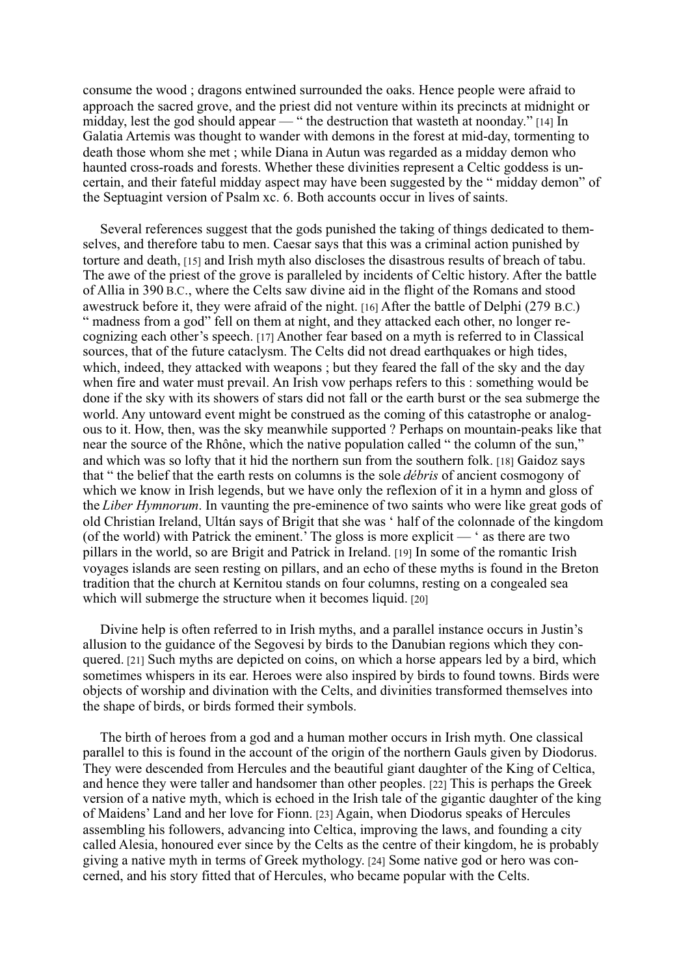consume the wood; dragons entwined surrounded the oaks. Hence people were afraid to approach the sacred grove, and the priest did not venture within its precincts at midnight or midday, lest the god should appear — " the destruction that wasteth at noonday." [14] In Galatia Artemis was thought to wander with demons in the forest at mid-day, tormenting to death those whom she met ; while Diana in Autun was regarded as a midday demon who haunted cross-roads and forests. Whether these divinities represent a Celtic goddess is uncertain, and their fateful midday aspect may have been suggested by the "midday demon" of the Septuagint version of Psalm xc. 6. Both accounts occur in lives of saints.

Several references suggest that the gods punished the taking of things dedicated to themselves, and therefore tabu to men. Caesar says that this was a criminal action punished by torture and death, [15] and Irish myth also discloses the disastrous results of breach of tabu. The awe of the priest of the grove is paralleled by incidents of Celtic history. After the battle of Allia in 390 B.C., where the Celts saw divine aid in the flight of the Romans and stood awestruck before it, they were afraid of the night. [16] After the battle of Delphi (279 B.C.) " madness from a god" fell on them at night, and they attacked each other, no longer recognizing each other's speech. [17] Another fear based on a myth is referred to in Classical sources, that of the future cataclysm. The Celts did not dread earthquakes or high tides, which, indeed, they attacked with weapons; but they feared the fall of the sky and the day when fire and water must prevail. An Irish yow perhaps refers to this: something would be done if the sky with its showers of stars did not fall or the earth burst or the sea submerge the world. Any untoward event might be construed as the coming of this catastrophe or analogous to it. How, then, was the sky meanwhile supported? Perhaps on mountain-peaks like that near the source of the Rhône, which the native population called "the column of the sun," and which was so lofty that it hid the northern sun from the southern folk. [18] Gaidoz says that " the belief that the earth rests on columns is the sole *débris* of ancient cosmogony of which we know in Irish legends, but we have only the reflexion of it in a hymn and gloss of the Liber Hymnorum. In vaunting the pre-eminence of two saints who were like great gods of old Christian Ireland, Ultán says of Brigit that she was 'half of the colonnade of the kingdom (of the world) with Patrick the eminent.' The gloss is more explicit  $-$  ' as there are two pillars in the world, so are Brigit and Patrick in Ireland. [19] In some of the romantic Irish voyages islands are seen resting on pillars, and an echo of these myths is found in the Breton tradition that the church at Kernitou stands on four columns, resting on a congealed sea which will submerge the structure when it becomes liquid. [20]

Divine help is often referred to in Irish myths, and a parallel instance occurs in Justin's allusion to the guidance of the Segovesi by birds to the Danubian regions which they conquered. [21] Such myths are depicted on coins, on which a horse appears led by a bird, which sometimes whispers in its ear. Heroes were also inspired by birds to found towns. Birds were objects of worship and divination with the Celts, and divinities transformed themselves into the shape of birds, or birds formed their symbols.

The birth of heroes from a god and a human mother occurs in Irish myth. One classical parallel to this is found in the account of the origin of the northern Gauls given by Diodorus. They were descended from Hercules and the beautiful giant daughter of the King of Celtica. and hence they were taller and handsomer than other peoples. [22] This is perhaps the Greek version of a native myth, which is echoed in the Irish tale of the gigantic daughter of the king of Maidens' Land and her love for Fionn. [23] Again, when Diodorus speaks of Hercules assembling his followers, advancing into Celtica, improving the laws, and founding a city called Alesia, honoured ever since by the Celts as the centre of their kingdom, he is probably giving a native myth in terms of Greek mythology. [24] Some native god or hero was concerned, and his story fitted that of Hercules, who became popular with the Celts.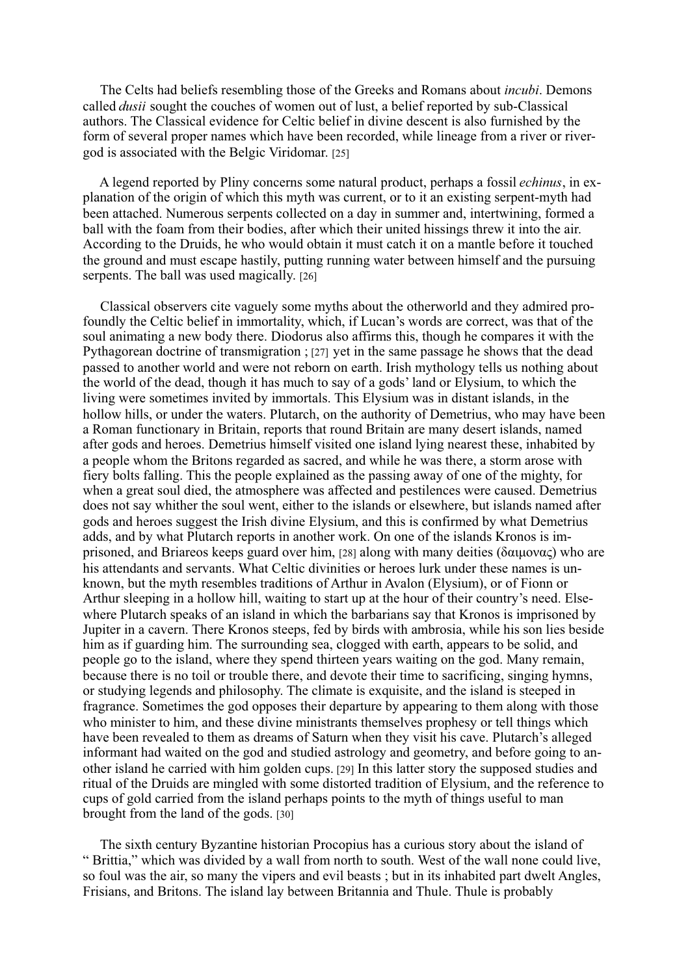The Celts had beliefs resembling those of the Greeks and Romans about *incubi*. Demons called *dusii* sought the couches of women out of lust, a belief reported by sub-Classical authors. The Classical evidence for Celtic belief in divine descent is also furnished by the form of several proper names which have been recorded, while lineage from a river or rivergod is associated with the Belgic Viridomar. [25]

A legend reported by Pliny concerns some natural product, perhaps a fossil *echinus*, in explanation of the origin of which this myth was current, or to it an existing serpent-myth had been attached. Numerous serpents collected on a day in summer and, intertwining, formed a ball with the foam from their bodies, after which their united hissings threw it into the air. According to the Druids, he who would obtain it must catch it on a mantle before it touched the ground and must escape hastily, putting running water between himself and the pursuing serpents. The ball was used magically. [26]

Classical observers cite vaguely some myths about the otherworld and they admired profoundly the Celtic belief in immortality, which, if Lucan's words are correct, was that of the soul animating a new body there. Diodorus also affirms this, though he compares it with the Pythagorean doctrine of transmigration; [27] yet in the same passage he shows that the dead passed to another world and were not reborn on earth. Irish mythology tells us nothing about the world of the dead, though it has much to say of a gods' land or Elysium, to which the living were sometimes invited by immortals. This Elysium was in distant islands, in the hollow hills, or under the waters. Plutarch, on the authority of Demetrius, who may have been a Roman functionary in Britain, reports that round Britain are many desert islands, named after gods and heroes. Demetrius himself visited one island lying nearest these, inhabited by a people whom the Britons regarded as sacred, and while he was there, a storm arose with fiery bolts falling. This the people explained as the passing away of one of the mighty, for when a great soul died, the atmosphere was affected and pestilences were caused. Demetrius does not say whither the soul went, either to the islands or elsewhere, but islands named after gods and heroes suggest the Irish divine Elysium, and this is confirmed by what Demetrius adds, and by what Plutarch reports in another work. On one of the islands Kronos is imprisoned, and Briareos keeps guard over him, [28] along with many deities ( $\delta \alpha \mu \nu \alpha \varsigma$ ) who are his attendants and servants. What Celtic divinities or heroes lurk under these names is unknown, but the myth resembles traditions of Arthur in Avalon (Elysium), or of Fionn or Arthur sleeping in a hollow hill, waiting to start up at the hour of their country's need. Elsewhere Plutarch speaks of an island in which the barbarians say that Kronos is imprisoned by Jupiter in a cavern. There Kronos steeps, fed by birds with ambrosia, while his son lies beside him as if guarding him. The surrounding sea, clogged with earth, appears to be solid, and people go to the island, where they spend thirteen years waiting on the god. Many remain, because there is no toil or trouble there, and devote their time to sacrificing, singing hymns, or studying legends and philosophy. The climate is exquisite, and the island is steeped in fragrance. Sometimes the god opposes their departure by appearing to them along with those who minister to him, and these divine ministrants themselves prophesy or tell things which have been revealed to them as dreams of Saturn when they visit his cave. Plutarch's alleged informant had waited on the god and studied astrology and geometry, and before going to another island he carried with him golden cups. [29] In this latter story the supposed studies and ritual of the Druids are mingled with some distorted tradition of Elysium, and the reference to cups of gold carried from the island perhaps points to the myth of things useful to man brought from the land of the gods. [30]

The sixth century Byzantine historian Procopius has a curious story about the island of "Brittia," which was divided by a wall from north to south. West of the wall none could live, so foul was the air, so many the vipers and evil beasts ; but in its inhabited part dwelt Angles. Frisians, and Britons. The island lay between Britannia and Thule. Thule is probably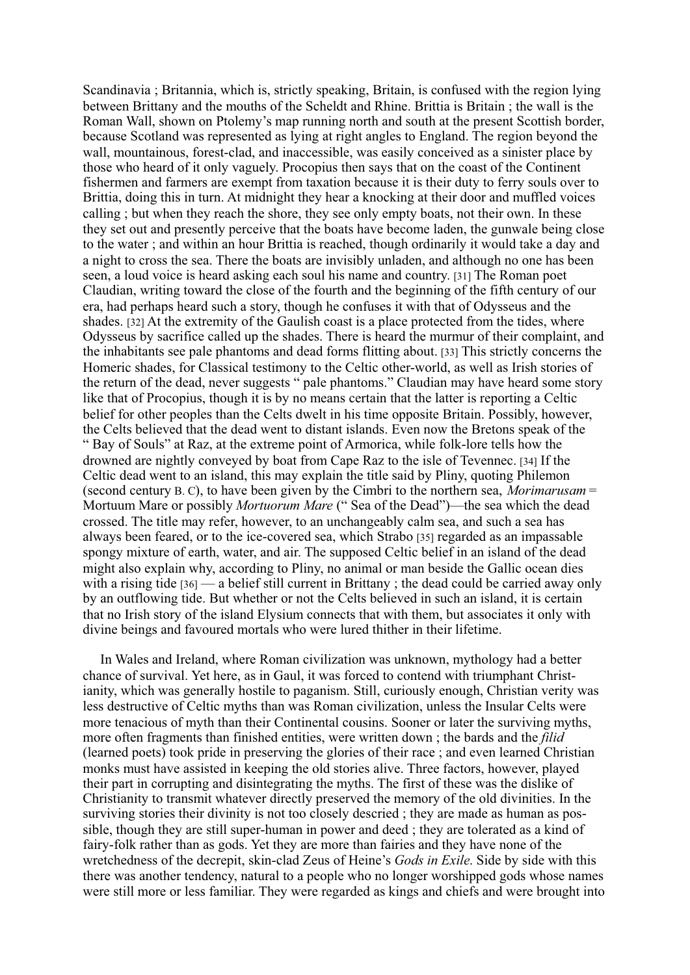Scandinavia; Britannia, which is, strictly speaking, Britain, is confused with the region lying between Brittany and the mouths of the Scheldt and Rhine. Brittia is Britain ; the wall is the Roman Wall, shown on Ptolemy's map running north and south at the present Scottish border, because Scotland was represented as lying at right angles to England. The region beyond the wall, mountainous, forest-clad, and inaccessible, was easily conceived as a sinister place by those who heard of it only vaguely. Procopius then says that on the coast of the Continent fishermen and farmers are exempt from taxation because it is their duty to ferry souls over to Brittia, doing this in turn. At midnight they hear a knocking at their door and muffled voices calling : but when they reach the shore, they see only empty boats, not their own. In these they set out and presently perceive that the boats have become laden, the gunwale being close to the water; and within an hour Brittia is reached, though ordinarily it would take a day and a night to cross the sea. There the boats are invisibly unladen, and although no one has been seen, a loud voice is heard asking each soul his name and country. [31] The Roman poet Claudian, writing toward the close of the fourth and the beginning of the fifth century of our era, had perhaps heard such a story, though he confuses it with that of Odysseus and the shades. [32] At the extremity of the Gaulish coast is a place protected from the tides, where Odysseus by sacrifice called up the shades. There is heard the murmur of their complaint, and the inhabitants see pale phantoms and dead forms flitting about. [33] This strictly concerns the Homeric shades, for Classical testimony to the Celtic other-world, as well as Irish stories of the return of the dead, never suggests "pale phantoms." Claudian may have heard some story like that of Procopius, though it is by no means certain that the latter is reporting a Celtic belief for other peoples than the Celts dwelt in his time opposite Britain. Possibly, however, the Celts believed that the dead went to distant islands. Even now the Bretons speak of the "Bay of Souls" at Raz, at the extreme point of Armorica, while folk-lore tells how the drowned are nightly conveyed by boat from Cape Raz to the isle of Tevennec. [34] If the Celtic dead went to an island, this may explain the title said by Pliny, quoting Philemon (second century B. C), to have been given by the Cimbri to the northern sea, *Morimarusam* = Mortuum Mare or possibly Mortuorum Mare ("Sea of the Dead")—the sea which the dead crossed. The title may refer, however, to an unchangeably calm sea, and such a sea has always been feared, or to the ice-covered sea, which Strabo [35] regarded as an impassable spongy mixture of earth, water, and air. The supposed Celtic belief in an island of the dead might also explain why, according to Pliny, no animal or man beside the Gallic ocean dies with a rising tide  $[36]$  — a belief still current in Brittany; the dead could be carried away only by an outflowing tide. But whether or not the Celts believed in such an island, it is certain that no Irish story of the island Elysium connects that with them, but associates it only with divine beings and favoured mortals who were lured thither in their lifetime.

In Wales and Ireland, where Roman civilization was unknown, mythology had a better chance of survival. Yet here, as in Gaul, it was forced to contend with triumphant Christianity, which was generally hostile to paganism. Still, curiously enough, Christian verity was less destructive of Celtic myths than was Roman civilization, unless the Insular Celts were more tenacious of myth than their Continental cousins. Sooner or later the surviving myths, more often fragments than finished entities, were written down; the bards and the *filid* (learned poets) took pride in preserving the glories of their race; and even learned Christian monks must have assisted in keeping the old stories alive. Three factors, however, played their part in corrupting and disintegrating the myths. The first of these was the dislike of Christianity to transmit whatever directly preserved the memory of the old divinities. In the surviving stories their divinity is not too closely descried; they are made as human as possible, though they are still super-human in power and deed; they are tolerated as a kind of fairy-folk rather than as gods. Yet they are more than fairies and they have none of the wretchedness of the decrepit, skin-clad Zeus of Heine's Gods in Exile. Side by side with this there was another tendency, natural to a people who no longer worshipped gods whose names were still more or less familiar. They were regarded as kings and chiefs and were brought into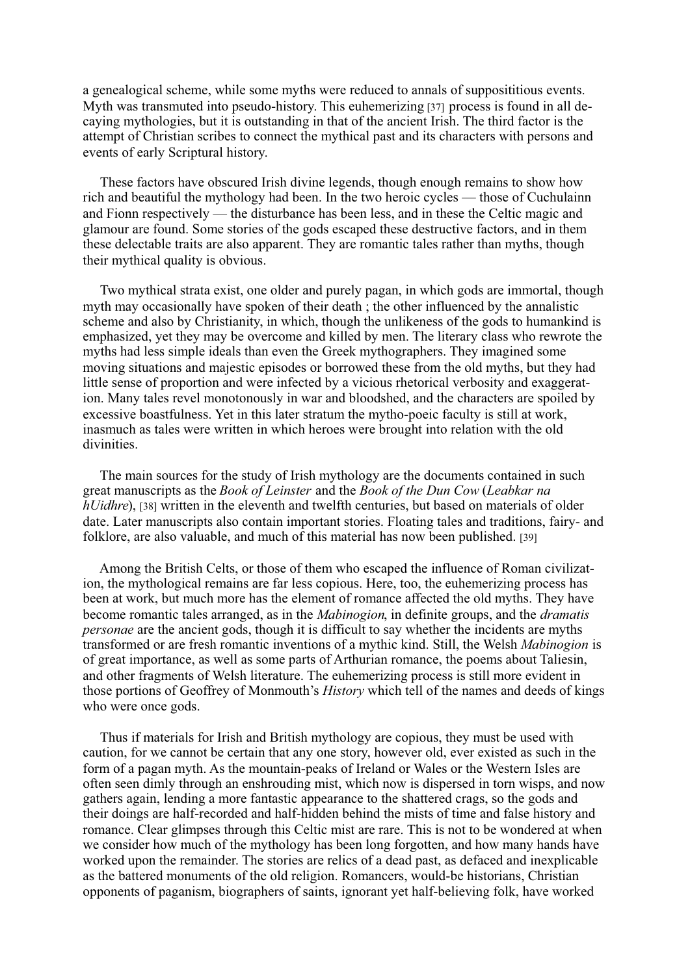a genealogical scheme, while some myths were reduced to annals of supposititious events. Myth was transmuted into pseudo-history. This euhemerizing [37] process is found in all decaying mythologies, but it is outstanding in that of the ancient Irish. The third factor is the attempt of Christian scribes to connect the mythical past and its characters with persons and events of early Scriptural history.

These factors have obscured Irish divine legends, though enough remains to show how rich and beautiful the mythology had been. In the two heroic cycles — those of Cuchulainn and Fionn respectively — the disturbance has been less, and in these the Celtic magic and glamour are found. Some stories of the gods escaped these destructive factors, and in them these delectable traits are also apparent. They are romantic tales rather than myths, though their mythical quality is obvious.

Two mythical strata exist, one older and purely pagan, in which gods are immortal, though myth may occasionally have spoken of their death; the other influenced by the annalistic scheme and also by Christianity, in which, though the unlikeness of the gods to humankind is emphasized, yet they may be overcome and killed by men. The literary class who rewrote the myths had less simple ideals than even the Greek mythographers. They imagined some moving situations and majestic episodes or borrowed these from the old myths, but they had little sense of proportion and were infected by a vicious rhetorical verbosity and exaggeration. Many tales revel monotonously in war and bloodshed, and the characters are spoiled by excessive boastfulness. Yet in this later stratum the mytho-poeic faculty is still at work, inasmuch as tales were written in which heroes were brought into relation with the old divinities

The main sources for the study of Irish mythology are the documents contained in such great manuscripts as the *Book of Leinster* and the *Book of the Dun Cow (Leabkar na*) hUidhre), [38] written in the eleventh and twelfth centuries, but based on materials of older date. Later manuscripts also contain important stories. Floating tales and traditions, fairy- and folklore, are also valuable, and much of this material has now been published. [39]

Among the British Celts, or those of them who escaped the influence of Roman civilization, the mythological remains are far less copious. Here, too, the euhemerizing process has been at work, but much more has the element of romance affected the old myths. They have become romantic tales arranged, as in the *Mabinogion*, in definite groups, and the *dramatis personae* are the ancient gods, though it is difficult to say whether the incidents are myths transformed or are fresh romantic inventions of a mythic kind. Still, the Welsh Mabinogion is of great importance, as well as some parts of Arthurian romance, the poems about Taliesin, and other fragments of Welsh literature. The euhemerizing process is still more evident in those portions of Geoffrey of Monmouth's *History* which tell of the names and deeds of kings who were once gods.

Thus if materials for Irish and British mythology are copious, they must be used with caution, for we cannot be certain that any one story, however old, ever existed as such in the form of a pagan myth. As the mountain-peaks of Ireland or Wales or the Western Isles are often seen dimly through an enshrouding mist, which now is dispersed in torn wisps, and now gathers again, lending a more fantastic appearance to the shattered crags, so the gods and their doings are half-recorded and half-hidden behind the mists of time and false history and romance. Clear glimpses through this Celtic mist are rare. This is not to be wondered at when we consider how much of the mythology has been long forgotten, and how many hands have worked upon the remainder. The stories are relics of a dead past, as defaced and inexplicable as the battered monuments of the old religion. Romancers, would-be historians, Christian opponents of paganism, biographers of saints, ignorant yet half-believing folk, have worked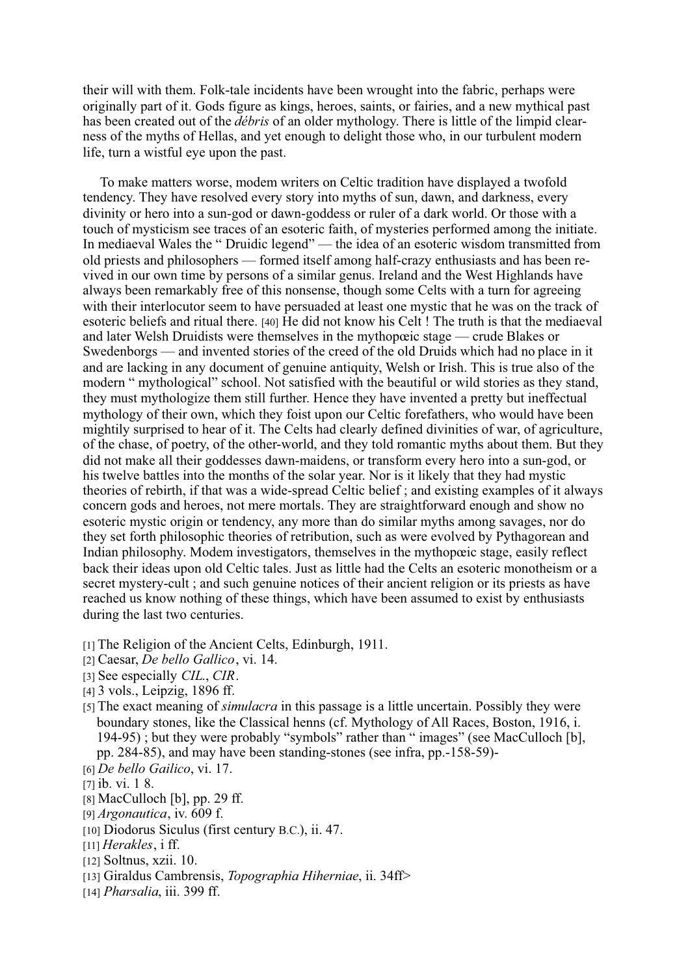their will with them. Folk-tale incidents have been wrought into the fabric, perhaps were originally part of it. Gods figure as kings, heroes, saints, or fairies, and a new mythical past has been created out of the *débris* of an older mythology. There is little of the limpid clearness of the myths of Hellas, and yet enough to delight those who, in our turbulent modern life, turn a wistful eye upon the past.

To make matters worse, modem writers on Celtic tradition have displayed a twofold tendency. They have resolved every story into myths of sun, dawn, and darkness, every divinity or hero into a sun-god or dawn-goddess or ruler of a dark world. Or those with a touch of mysticism see traces of an esoteric faith, of mysteries performed among the initiate. In mediaeval Wales the "Druidic legend" — the idea of an esoteric wisdom transmitted from old priests and philosophers — formed itself among half-crazy enthusiasts and has been revived in our own time by persons of a similar genus. Ireland and the West Highlands have always been remarkably free of this nonsense, though some Celts with a turn for agreeing with their interlocutor seem to have persuaded at least one mystic that he was on the track of esoteric beliefs and ritual there. [40] He did not know his Celt! The truth is that the mediaeval and later Welsh Druidists were themselves in the mythopœic stage — crude Blakes or Swedenborgs — and invented stories of the creed of the old Druids which had no place in it and are lacking in any document of genuine antiquity. Welsh or Irish. This is true also of the modern "mythological" school. Not satisfied with the beautiful or wild stories as they stand, they must mythologize them still further. Hence they have invented a pretty but ineffectual mythology of their own, which they foist upon our Celtic forefathers, who would have been mightily surprised to hear of it. The Celts had clearly defined divinities of war, of agriculture. of the chase, of poetry, of the other-world, and they told romantic myths about them. But they did not make all their goddesses dawn-maidens, or transform every hero into a sun-god, or his twelve battles into the months of the solar year. Nor is it likely that they had mystic theories of rebirth, if that was a wide-spread Celtic belief; and existing examples of it always concern gods and heroes, not mere mortals. They are straightforward enough and show no esoteric mystic origin or tendency, any more than do similar myths among savages, nor do they set forth philosophic theories of retribution, such as were evolved by Pythagorean and Indian philosophy. Modem investigators, themselves in the mythopoeic stage, easily reflect back their ideas upon old Celtic tales. Just as little had the Celts an esoteric monotheism or a secret mystery-cult; and such genuine notices of their ancient religion or its priests as have reached us know nothing of these things, which have been assumed to exist by enthusiasts during the last two centuries.

- [1] The Religion of the Ancient Celts, Edinburgh, 1911.
- [2] Caesar, De bello Gallico, vi. 14.
- [3] See especially CIL., CIR.
- [4] 3 vols., Leipzig, 1896 ff.
- [5] The exact meaning of *simulacra* in this passage is a little uncertain. Possibly they were boundary stones, like the Classical henns (cf. Mythology of All Races, Boston, 1916, i. 194-95); but they were probably "symbols" rather than " images" (see MacCulloch [b], pp. 284-85), and may have been standing-stones (see infra, pp. -158-59)-
- $[6]$  De bello Gailico, vi. 17.
- [7] ib. vi. 18.
- $[8]$  MacCulloch  $[b]$ , pp. 29 ff.
- [9] Argonautica, iv. 609 f.
- [10] Diodorus Siculus (first century B.C.), ii. 47.
- $[11]$  Herakles, iff.
- $[12]$  Soltnus, xzii. 10.
- [13] Giraldus Cambrensis, Topographia Hiherniae, ii. 34ff>
- [14] *Pharsalia*, iii. 399 ff.